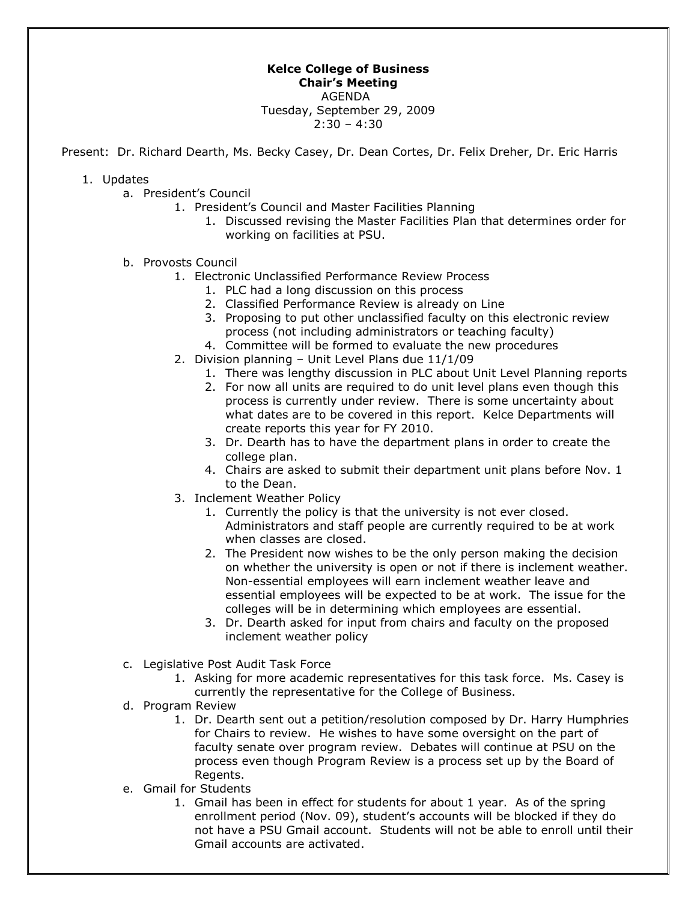## **Kelce College of Business Chair's Meeting**  AGENDA

Tuesday, September 29, 2009  $2:30 - 4:30$ 

Present: Dr. Richard Dearth, Ms. Becky Casey, Dr. Dean Cortes, Dr. Felix Dreher, Dr. Eric Harris

## 1. Updates

- a. President's Council
	- 1. President's Council and Master Facilities Planning
		- 1. Discussed revising the Master Facilities Plan that determines order for working on facilities at PSU.
- b. Provosts Council
	- 1. Electronic Unclassified Performance Review Process
		- 1. PLC had a long discussion on this process
		- 2. Classified Performance Review is already on Line
		- 3. Proposing to put other unclassified faculty on this electronic review process (not including administrators or teaching faculty)
		- 4. Committee will be formed to evaluate the new procedures
	- 2. Division planning Unit Level Plans due 11/1/09
		- 1. There was lengthy discussion in PLC about Unit Level Planning reports
		- 2. For now all units are required to do unit level plans even though this process is currently under review. There is some uncertainty about what dates are to be covered in this report. Kelce Departments will create reports this year for FY 2010.
		- 3. Dr. Dearth has to have the department plans in order to create the college plan.
		- 4. Chairs are asked to submit their department unit plans before Nov. 1 to the Dean.
	- 3. Inclement Weather Policy
		- 1. Currently the policy is that the university is not ever closed. Administrators and staff people are currently required to be at work when classes are closed.
		- 2. The President now wishes to be the only person making the decision on whether the university is open or not if there is inclement weather. Non-essential employees will earn inclement weather leave and essential employees will be expected to be at work. The issue for the colleges will be in determining which employees are essential.
		- 3. Dr. Dearth asked for input from chairs and faculty on the proposed inclement weather policy
- c. Legislative Post Audit Task Force
	- 1. Asking for more academic representatives for this task force. Ms. Casey is currently the representative for the College of Business.
- d. Program Review
	- 1. Dr. Dearth sent out a petition/resolution composed by Dr. Harry Humphries for Chairs to review. He wishes to have some oversight on the part of faculty senate over program review. Debates will continue at PSU on the process even though Program Review is a process set up by the Board of Regents.
- e. Gmail for Students
	- 1. Gmail has been in effect for students for about 1 year. As of the spring enrollment period (Nov. 09), student's accounts will be blocked if they do not have a PSU Gmail account. Students will not be able to enroll until their Gmail accounts are activated.